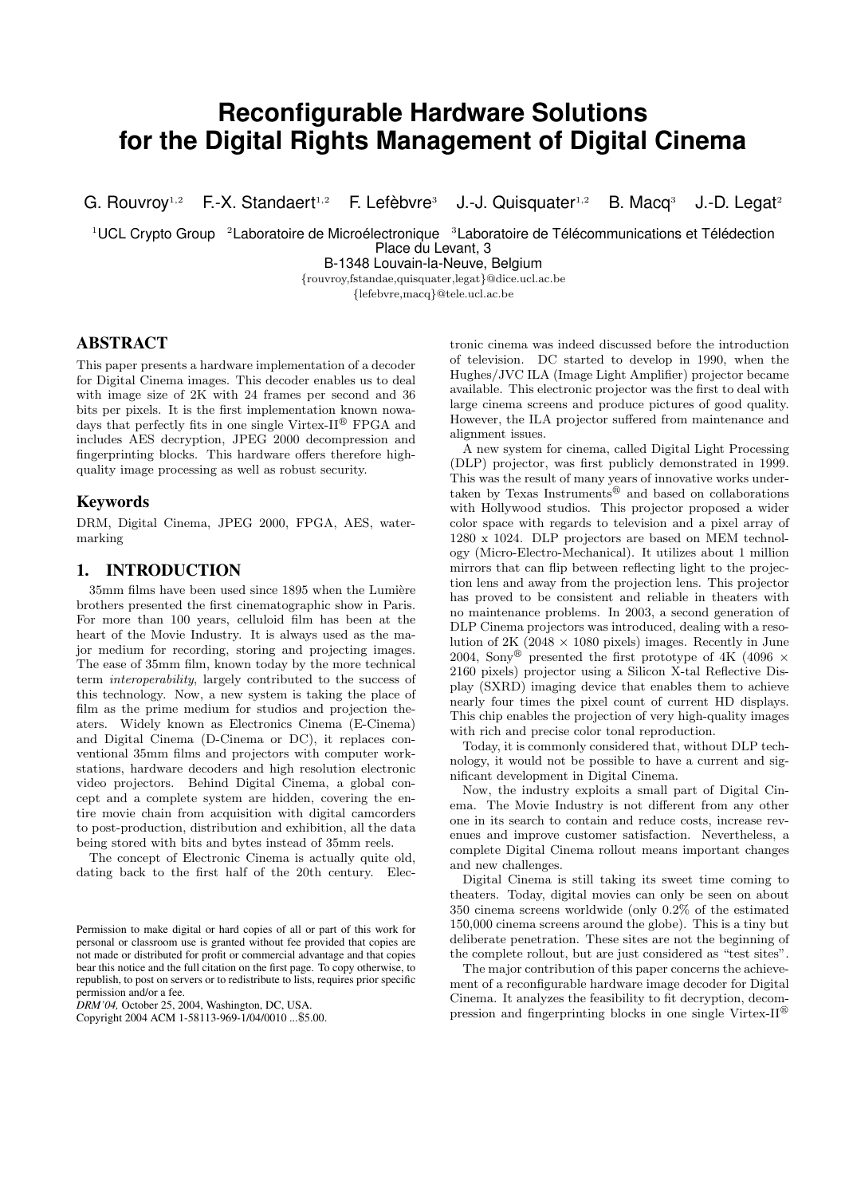# **Reconfigurable Hardware Solutions for the Digital Rights Management of Digital Cinema**

G. Rouvroy F.-X. Standaert<sup>1,2</sup> F. Lefèbvre<sup>3</sup> J.-J. Quisquater<sup>1,2</sup> B. Macq<sup>3</sup> J.-D. Legat<sup>2</sup>

 $10$ UCL Crypto Group  $2$ Laboratoire de Microélectronique  $3$ Laboratoire de Télécommunications et Télédection

Place du Levant, 3

B-1348 Louvain-la-Neuve, Belgium

{rouvroy,fstandae,quisquater,legat}@dice.ucl.ac.be

{lefebvre,macq}@tele.ucl.ac.be

# **ABSTRACT**

This paper presents a hardware implementation of a decoder for Digital Cinema images. This decoder enables us to deal with image size of 2K with 24 frames per second and 36 bits per pixels. It is the first implementation known nowadays that perfectly fits in one single Virtex-II<sup>®</sup> FPGA and includes AES decryption, JPEG 2000 decompression and fingerprinting blocks. This hardware offers therefore highquality image processing as well as robust security.

### **Keywords**

DRM, Digital Cinema, JPEG 2000, FPGA, AES, watermarking

# **1. INTRODUCTION**

 $35<sub>mm</sub>$  films have been used since  $1895$  when the Lumière brothers presented the first cinematographic show in Paris. For more than 100 years, celluloid film has been at the heart of the Movie Industry. It is always used as the major medium for recording, storing and projecting images. The ease of 35mm film, known today by the more technical term interoperability, largely contributed to the success of this technology. Now, a new system is taking the place of film as the prime medium for studios and projection theaters. Widely known as Electronics Cinema (E-Cinema) and Digital Cinema (D-Cinema or DC), it replaces conventional 35mm films and projectors with computer workstations, hardware decoders and high resolution electronic video projectors. Behind Digital Cinema, a global concept and a complete system are hidden, covering the entire movie chain from acquisition with digital camcorders to post-production, distribution and exhibition, all the data being stored with bits and bytes instead of 35mm reels.

The concept of Electronic Cinema is actually quite old, dating back to the first half of the 20th century. Elec-

*DRM'04,* October 25, 2004, Washington, DC, USA.

tronic cinema was indeed discussed before the introduction of television. DC started to develop in 1990, when the Hughes/JVC ILA (Image Light Amplifier) projector became available. This electronic projector was the first to deal with large cinema screens and produce pictures of good quality. However, the ILA projector suffered from maintenance and alignment issues.

A new system for cinema, called Digital Light Processing (DLP) projector, was first publicly demonstrated in 1999. This was the result of many years of innovative works undertaken by Texas Instruments<sup>®</sup> and based on collaborations with Hollywood studios. This projector proposed a wider color space with regards to television and a pixel array of 1280 x 1024. DLP projectors are based on MEM technology (Micro-Electro-Mechanical). It utilizes about 1 million mirrors that can flip between reflecting light to the projection lens and away from the projection lens. This projector has proved to be consistent and reliable in theaters with no maintenance problems. In 2003, a second generation of DLP Cinema projectors was introduced, dealing with a resolution of  $2K (2048 \times 1080)$  pixels) images. Recently in June 2004, Sony<sup>®</sup> presented the first prototype of 4K (4096  $\times$ 2160 pixels) projector using a Silicon X-tal Reflective Display (SXRD) imaging device that enables them to achieve nearly four times the pixel count of current HD displays. This chip enables the projection of very high-quality images with rich and precise color tonal reproduction.

Today, it is commonly considered that, without DLP technology, it would not be possible to have a current and significant development in Digital Cinema.

Now, the industry exploits a small part of Digital Cinema. The Movie Industry is not different from any other one in its search to contain and reduce costs, increase revenues and improve customer satisfaction. Nevertheless, a complete Digital Cinema rollout means important changes and new challenges.

Digital Cinema is still taking its sweet time coming to theaters. Today, digital movies can only be seen on about 350 cinema screens worldwide (only 0.2% of the estimated 150,000 cinema screens around the globe). This is a tiny but deliberate penetration. These sites are not the beginning of the complete rollout, but are just considered as "test sites".

The major contribution of this paper concerns the achievement of a reconfigurable hardware image decoder for Digital Cinema. It analyzes the feasibility to fit decryption, decompression and fingerprinting blocks in one single Virtex-II<sup>®</sup>

Permission to make digital or hard copies of all or part of this work for personal or classroom use is granted without fee provided that copies are not made or distributed for profit or commercial advantage and that copies bear this notice and the full citation on the first page. To copy otherwise, to republish, to post on servers or to redistribute to lists, requires prior specific permission and/or a fee.

Copyright 2004 ACM 1-58113-969-1/04/0010 ...\$5.00.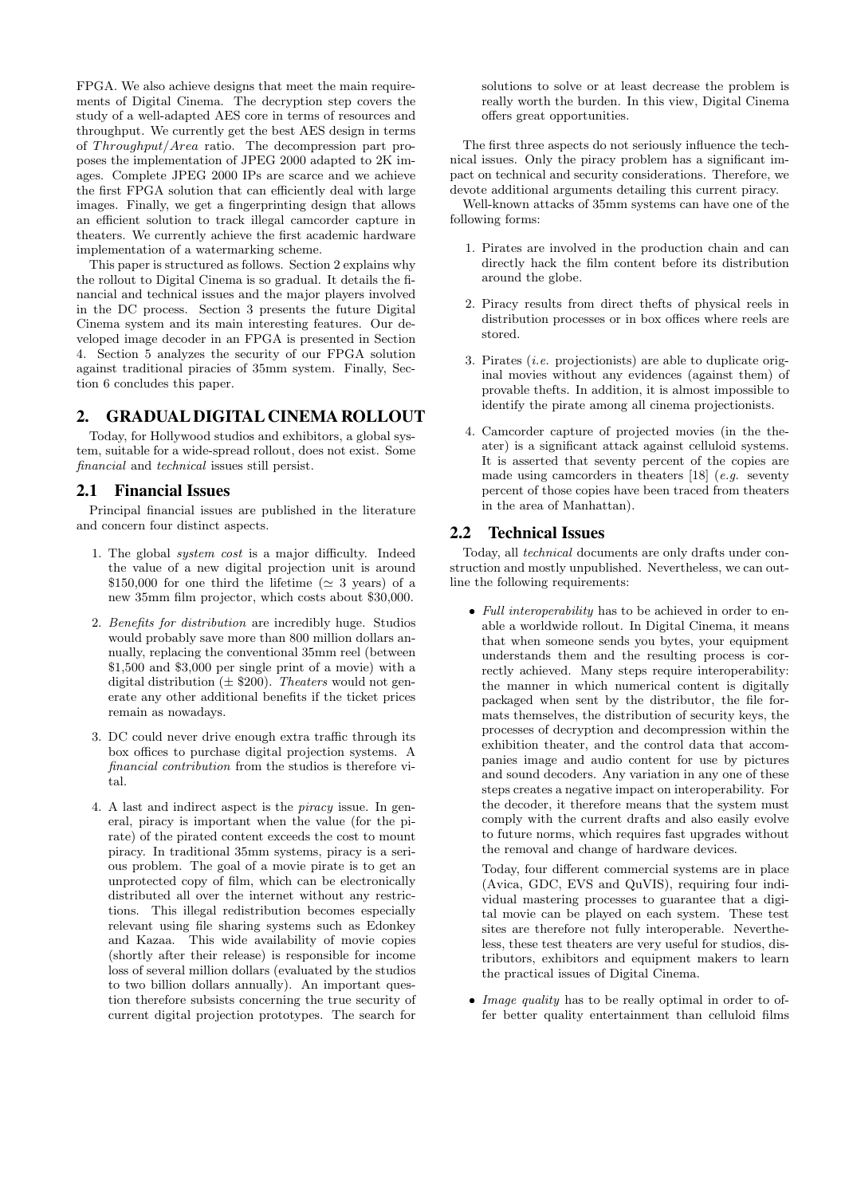FPGA. We also achieve designs that meet the main requirements of Digital Cinema. The decryption step covers the study of a well-adapted AES core in terms of resources and throughput. We currently get the best AES design in terms of Throughput/Area ratio. The decompression part proposes the implementation of JPEG 2000 adapted to 2K images. Complete JPEG 2000 IPs are scarce and we achieve the first FPGA solution that can efficiently deal with large images. Finally, we get a fingerprinting design that allows an efficient solution to track illegal camcorder capture in theaters. We currently achieve the first academic hardware implementation of a watermarking scheme.

This paper is structured as follows. Section 2 explains why the rollout to Digital Cinema is so gradual. It details the financial and technical issues and the major players involved in the DC process. Section 3 presents the future Digital Cinema system and its main interesting features. Our developed image decoder in an FPGA is presented in Section 4. Section 5 analyzes the security of our FPGA solution against traditional piracies of 35mm system. Finally, Section 6 concludes this paper.

# **2. GRADUAL DIGITAL CINEMA ROLLOUT**

Today, for Hollywood studios and exhibitors, a global system, suitable for a wide-spread rollout, does not exist. Some financial and technical issues still persist.

# **2.1 Financial Issues**

Principal financial issues are published in the literature and concern four distinct aspects.

- 1. The global system cost is a major difficulty. Indeed the value of a new digital projection unit is around \$150,000 for one third the lifetime ( $\simeq$  3 years) of a new 35mm film projector, which costs about \$30,000.
- 2. Benefits for distribution are incredibly huge. Studios would probably save more than 800 million dollars annually, replacing the conventional 35mm reel (between \$1,500 and \$3,000 per single print of a movie) with a digital distribution  $(\pm \$200)$ . Theaters would not generate any other additional benefits if the ticket prices remain as nowadays.
- 3. DC could never drive enough extra traffic through its box offices to purchase digital projection systems. A financial contribution from the studios is therefore vital.
- 4. A last and indirect aspect is the piracy issue. In general, piracy is important when the value (for the pirate) of the pirated content exceeds the cost to mount piracy. In traditional 35mm systems, piracy is a serious problem. The goal of a movie pirate is to get an unprotected copy of film, which can be electronically distributed all over the internet without any restrictions. This illegal redistribution becomes especially relevant using file sharing systems such as Edonkey and Kazaa. This wide availability of movie copies (shortly after their release) is responsible for income loss of several million dollars (evaluated by the studios to two billion dollars annually). An important question therefore subsists concerning the true security of current digital projection prototypes. The search for

solutions to solve or at least decrease the problem is really worth the burden. In this view, Digital Cinema offers great opportunities.

The first three aspects do not seriously influence the technical issues. Only the piracy problem has a significant impact on technical and security considerations. Therefore, we devote additional arguments detailing this current piracy.

Well-known attacks of 35mm systems can have one of the following forms:

- 1. Pirates are involved in the production chain and can directly hack the film content before its distribution around the globe.
- 2. Piracy results from direct thefts of physical reels in distribution processes or in box offices where reels are stored.
- 3. Pirates  $(i.e.$  projectionists) are able to duplicate original movies without any evidences (against them) of provable thefts. In addition, it is almost impossible to identify the pirate among all cinema projectionists.
- 4. Camcorder capture of projected movies (in the theater) is a significant attack against celluloid systems. It is asserted that seventy percent of the copies are made using camcorders in theaters  $[18]$  (e.g. seventy percent of those copies have been traced from theaters in the area of Manhattan).

# **2.2 Technical Issues**

Today, all technical documents are only drafts under construction and mostly unpublished. Nevertheless, we can outline the following requirements:

• Full interoperability has to be achieved in order to enable a worldwide rollout. In Digital Cinema, it means that when someone sends you bytes, your equipment understands them and the resulting process is correctly achieved. Many steps require interoperability: the manner in which numerical content is digitally packaged when sent by the distributor, the file formats themselves, the distribution of security keys, the processes of decryption and decompression within the exhibition theater, and the control data that accompanies image and audio content for use by pictures and sound decoders. Any variation in any one of these steps creates a negative impact on interoperability. For the decoder, it therefore means that the system must comply with the current drafts and also easily evolve to future norms, which requires fast upgrades without the removal and change of hardware devices.

Today, four different commercial systems are in place (Avica, GDC, EVS and QuVIS), requiring four individual mastering processes to guarantee that a digital movie can be played on each system. These test sites are therefore not fully interoperable. Nevertheless, these test theaters are very useful for studios, distributors, exhibitors and equipment makers to learn the practical issues of Digital Cinema.

• *Image quality* has to be really optimal in order to offer better quality entertainment than celluloid films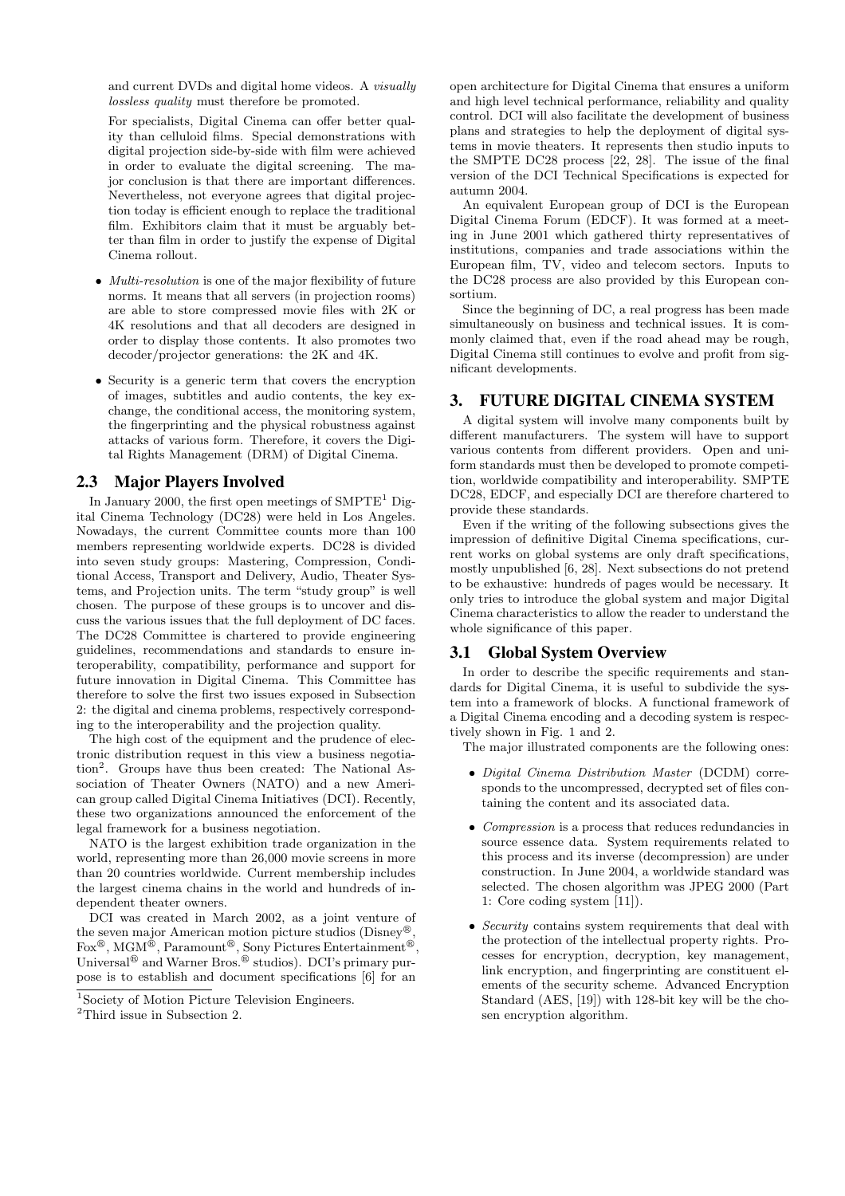and current DVDs and digital home videos. A visually lossless quality must therefore be promoted.

For specialists, Digital Cinema can offer better quality than celluloid films. Special demonstrations with digital projection side-by-side with film were achieved in order to evaluate the digital screening. The major conclusion is that there are important differences. Nevertheless, not everyone agrees that digital projection today is efficient enough to replace the traditional film. Exhibitors claim that it must be arguably better than film in order to justify the expense of Digital Cinema rollout.

- *Multi-resolution* is one of the major flexibility of future norms. It means that all servers (in projection rooms) are able to store compressed movie files with 2K or 4K resolutions and that all decoders are designed in order to display those contents. It also promotes two decoder/projector generations: the 2K and 4K.
- Security is a generic term that covers the encryption of images, subtitles and audio contents, the key exchange, the conditional access, the monitoring system, the fingerprinting and the physical robustness against attacks of various form. Therefore, it covers the Digital Rights Management (DRM) of Digital Cinema.

### **2.3 Major Players Involved**

In January 2000, the first open meetings of  $\text{SMPTE}^1$  Digital Cinema Technology (DC28) were held in Los Angeles. Nowadays, the current Committee counts more than 100 members representing worldwide experts. DC28 is divided into seven study groups: Mastering, Compression, Conditional Access, Transport and Delivery, Audio, Theater Systems, and Projection units. The term "study group" is well chosen. The purpose of these groups is to uncover and discuss the various issues that the full deployment of DC faces. The DC28 Committee is chartered to provide engineering guidelines, recommendations and standards to ensure interoperability, compatibility, performance and support for future innovation in Digital Cinema. This Committee has therefore to solve the first two issues exposed in Subsection 2: the digital and cinema problems, respectively corresponding to the interoperability and the projection quality.

The high cost of the equipment and the prudence of electronic distribution request in this view a business negotiation<sup>2</sup>. Groups have thus been created: The National Association of Theater Owners (NATO) and a new American group called Digital Cinema Initiatives (DCI). Recently, these two organizations announced the enforcement of the legal framework for a business negotiation.

NATO is the largest exhibition trade organization in the world, representing more than 26,000 movie screens in more than 20 countries worldwide. Current membership includes the largest cinema chains in the world and hundreds of independent theater owners.

DCI was created in March 2002, as a joint venture of the seven major American motion picture studios ( $\text{Disney}^{\circledR}$  $\mathrm{Fox}^{\circledR}, \mathrm{MGM}^{\circledR}, \mathrm{Paramount}^{\circledR}, \mathrm{Sony\,Pictures\,Entertainment}^{\circledR},$ Universal<sup>®</sup> and Warner Bros.<sup>®</sup> studios). DCI's primary purpose is to establish and document specifications [6] for an

open architecture for Digital Cinema that ensures a uniform and high level technical performance, reliability and quality control. DCI will also facilitate the development of business plans and strategies to help the deployment of digital systems in movie theaters. It represents then studio inputs to the SMPTE DC28 process [22, 28]. The issue of the final version of the DCI Technical Specifications is expected for autumn 2004.

An equivalent European group of DCI is the European Digital Cinema Forum (EDCF). It was formed at a meeting in June 2001 which gathered thirty representatives of institutions, companies and trade associations within the European film, TV, video and telecom sectors. Inputs to the DC28 process are also provided by this European consortium.

Since the beginning of DC, a real progress has been made simultaneously on business and technical issues. It is commonly claimed that, even if the road ahead may be rough, Digital Cinema still continues to evolve and profit from significant developments.

### **3. FUTURE DIGITAL CINEMA SYSTEM**

A digital system will involve many components built by different manufacturers. The system will have to support various contents from different providers. Open and uniform standards must then be developed to promote competition, worldwide compatibility and interoperability. SMPTE DC28, EDCF, and especially DCI are therefore chartered to provide these standards.

Even if the writing of the following subsections gives the impression of definitive Digital Cinema specifications, current works on global systems are only draft specifications, mostly unpublished [6, 28]. Next subsections do not pretend to be exhaustive: hundreds of pages would be necessary. It only tries to introduce the global system and major Digital Cinema characteristics to allow the reader to understand the whole significance of this paper.

### **3.1 Global System Overview**

In order to describe the specific requirements and standards for Digital Cinema, it is useful to subdivide the system into a framework of blocks. A functional framework of a Digital Cinema encoding and a decoding system is respectively shown in Fig. 1 and 2.

The major illustrated components are the following ones:

- Digital Cinema Distribution Master (DCDM) corresponds to the uncompressed, decrypted set of files containing the content and its associated data.
- Compression is a process that reduces redundancies in source essence data. System requirements related to this process and its inverse (decompression) are under construction. In June 2004, a worldwide standard was selected. The chosen algorithm was JPEG 2000 (Part 1: Core coding system [11]).
- Security contains system requirements that deal with the protection of the intellectual property rights. Processes for encryption, decryption, key management, link encryption, and fingerprinting are constituent elements of the security scheme. Advanced Encryption Standard (AES, [19]) with 128-bit key will be the chosen encryption algorithm.

<sup>&</sup>lt;sup>1</sup>Society of Motion Picture Television Engineers.

 ${}^{2}$ Third issue in Subsection 2.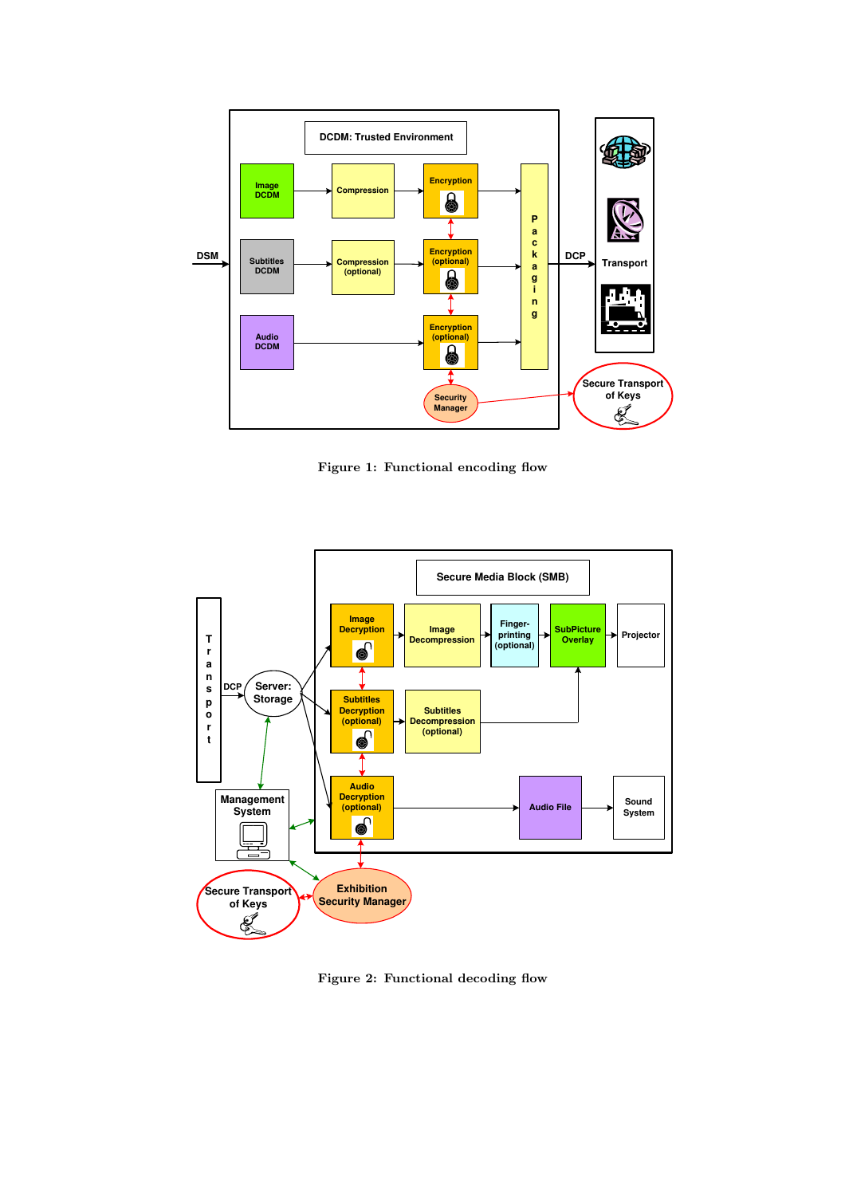

Figure 1: Functional encoding flow



Figure 2: Functional decoding flow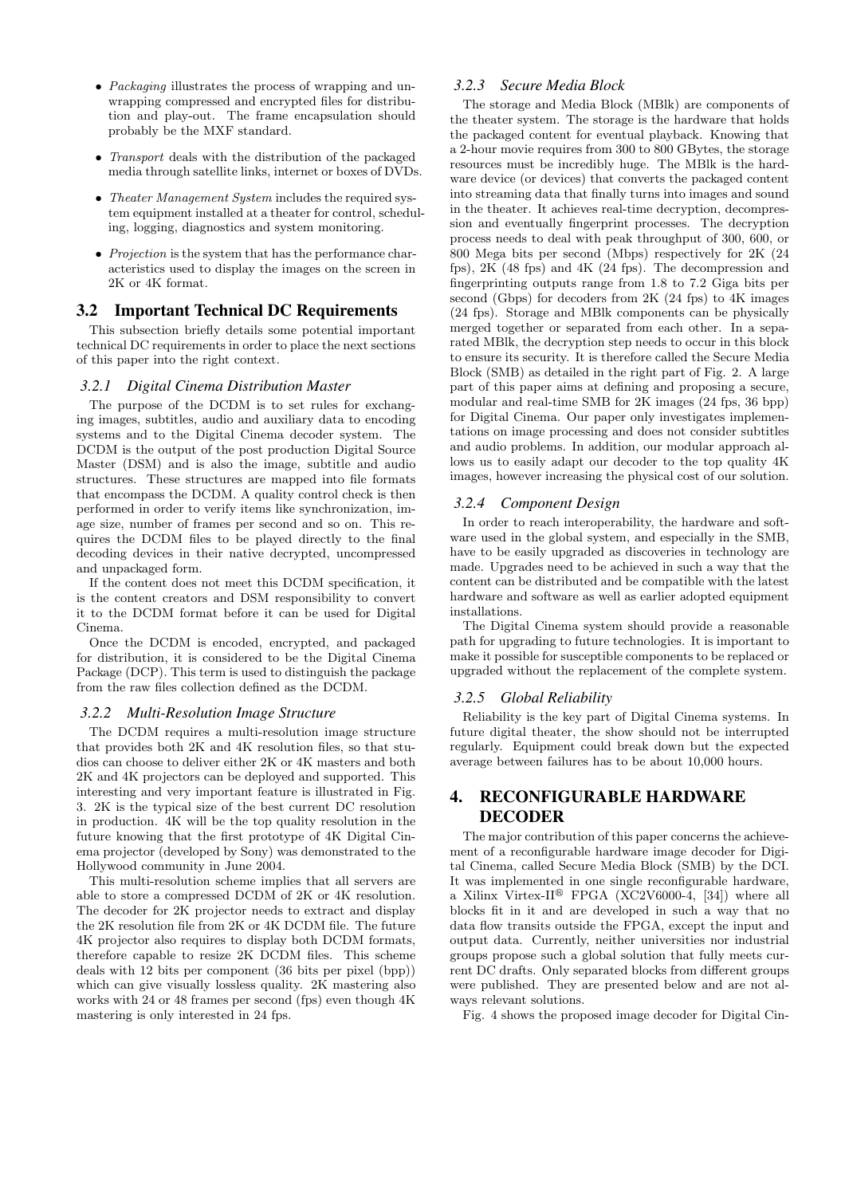- Packaging illustrates the process of wrapping and unwrapping compressed and encrypted files for distribution and play-out. The frame encapsulation should probably be the MXF standard.
- *Transport* deals with the distribution of the packaged media through satellite links, internet or boxes of DVDs.
- Theater Management System includes the required system equipment installed at a theater for control, scheduling, logging, diagnostics and system monitoring.
- Projection is the system that has the performance characteristics used to display the images on the screen in 2K or 4K format.

### **3.2 Important Technical DC Requirements**

This subsection briefly details some potential important technical DC requirements in order to place the next sections of this paper into the right context.

#### *3.2.1 Digital Cinema Distribution Master*

The purpose of the DCDM is to set rules for exchanging images, subtitles, audio and auxiliary data to encoding systems and to the Digital Cinema decoder system. The DCDM is the output of the post production Digital Source Master (DSM) and is also the image, subtitle and audio structures. These structures are mapped into file formats that encompass the DCDM. A quality control check is then performed in order to verify items like synchronization, image size, number of frames per second and so on. This requires the DCDM files to be played directly to the final decoding devices in their native decrypted, uncompressed and unpackaged form.

If the content does not meet this DCDM specification, it is the content creators and DSM responsibility to convert it to the DCDM format before it can be used for Digital Cinema.

Once the DCDM is encoded, encrypted, and packaged for distribution, it is considered to be the Digital Cinema Package (DCP). This term is used to distinguish the package from the raw files collection defined as the DCDM.

#### *3.2.2 Multi-Resolution Image Structure*

The DCDM requires a multi-resolution image structure that provides both 2K and 4K resolution files, so that studios can choose to deliver either 2K or 4K masters and both 2K and 4K projectors can be deployed and supported. This interesting and very important feature is illustrated in Fig. 3. 2K is the typical size of the best current DC resolution in production. 4K will be the top quality resolution in the future knowing that the first prototype of 4K Digital Cinema projector (developed by Sony) was demonstrated to the Hollywood community in June 2004.

This multi-resolution scheme implies that all servers are able to store a compressed DCDM of 2K or 4K resolution. The decoder for 2K projector needs to extract and display the 2K resolution file from 2K or 4K DCDM file. The future 4K projector also requires to display both DCDM formats, therefore capable to resize 2K DCDM files. This scheme deals with 12 bits per component (36 bits per pixel (bpp)) which can give visually lossless quality. 2K mastering also works with 24 or 48 frames per second (fps) even though 4K mastering is only interested in 24 fps.

#### *3.2.3 Secure Media Block*

The storage and Media Block (MBlk) are components of the theater system. The storage is the hardware that holds the packaged content for eventual playback. Knowing that a 2-hour movie requires from 300 to 800 GBytes, the storage resources must be incredibly huge. The MBlk is the hardware device (or devices) that converts the packaged content into streaming data that finally turns into images and sound in the theater. It achieves real-time decryption, decompression and eventually fingerprint processes. The decryption process needs to deal with peak throughput of 300, 600, or 800 Mega bits per second (Mbps) respectively for 2K (24 fps), 2K (48 fps) and 4K (24 fps). The decompression and fingerprinting outputs range from 1.8 to 7.2 Giga bits per second (Gbps) for decoders from 2K (24 fps) to 4K images (24 fps). Storage and MBlk components can be physically merged together or separated from each other. In a separated MBlk, the decryption step needs to occur in this block to ensure its security. It is therefore called the Secure Media Block (SMB) as detailed in the right part of Fig. 2. A large part of this paper aims at defining and proposing a secure, modular and real-time SMB for 2K images (24 fps, 36 bpp) for Digital Cinema. Our paper only investigates implementations on image processing and does not consider subtitles and audio problems. In addition, our modular approach allows us to easily adapt our decoder to the top quality 4K images, however increasing the physical cost of our solution.

#### *3.2.4 Component Design*

In order to reach interoperability, the hardware and software used in the global system, and especially in the SMB, have to be easily upgraded as discoveries in technology are made. Upgrades need to be achieved in such a way that the content can be distributed and be compatible with the latest hardware and software as well as earlier adopted equipment installations.

The Digital Cinema system should provide a reasonable path for upgrading to future technologies. It is important to make it possible for susceptible components to be replaced or upgraded without the replacement of the complete system.

#### *3.2.5 Global Reliability*

Reliability is the key part of Digital Cinema systems. In future digital theater, the show should not be interrupted regularly. Equipment could break down but the expected average between failures has to be about 10,000 hours.

# **4. RECONFIGURABLE HARDWARE DECODER**

The major contribution of this paper concerns the achievement of a reconfigurable hardware image decoder for Digital Cinema, called Secure Media Block (SMB) by the DCI. It was implemented in one single reconfigurable hardware, a Xilinx Virtex-II<sup>®</sup> FPGA (XC2V6000-4, [34]) where all blocks fit in it and are developed in such a way that no data flow transits outside the FPGA, except the input and output data. Currently, neither universities nor industrial groups propose such a global solution that fully meets current DC drafts. Only separated blocks from different groups were published. They are presented below and are not always relevant solutions.

Fig. 4 shows the proposed image decoder for Digital Cin-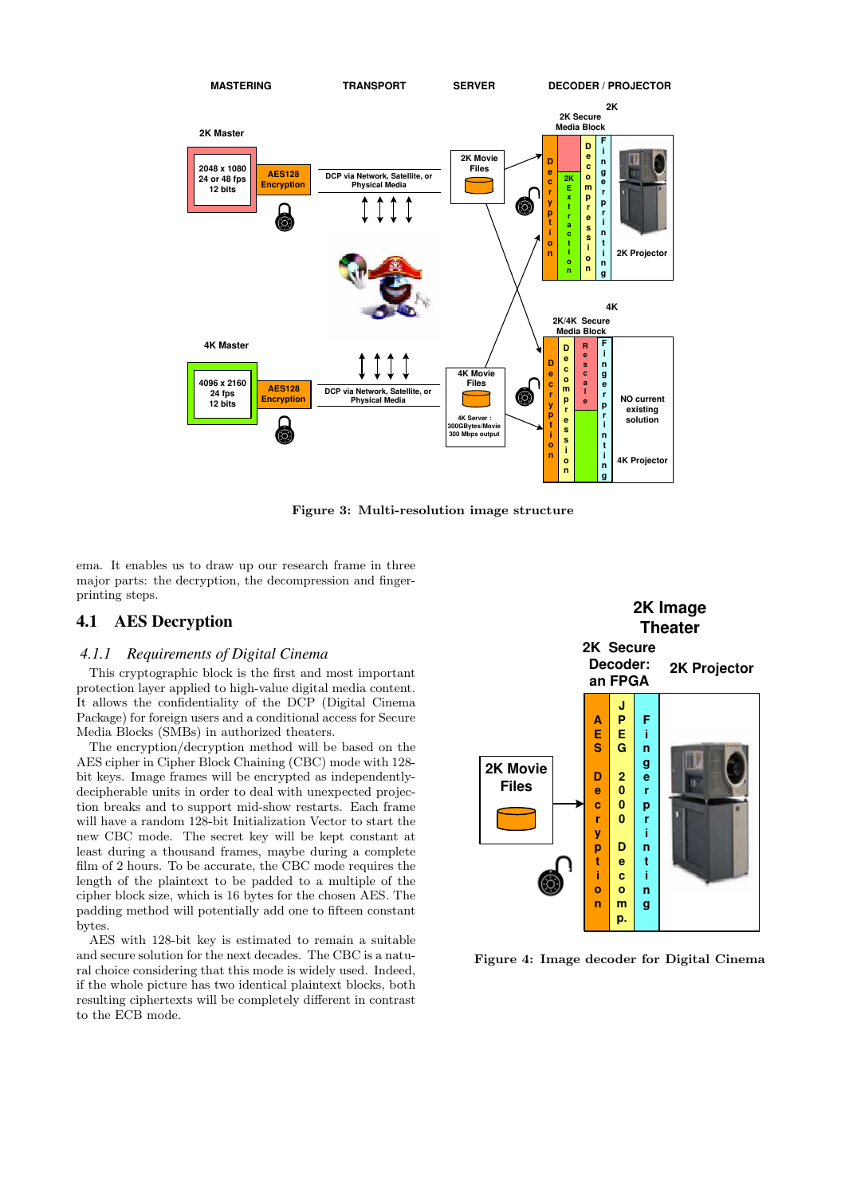

Figure 3: Multi-resolution image structure

ema. It enables us to draw up our research frame in three major parts: the decryption, the decompression and fingerprinting steps.

### **4.1 AES Decryption**

### *4.1.1 Requirements of Digital Cinema*

This cryptographic block is the first and most important protection layer applied to high-value digital media content. It allows the confidentiality of the DCP (Digital Cinema Package) for foreign users and a conditional access for Secure Media Blocks (SMBs) in authorized theaters.

The encryption/decryption method will be based on the AES cipher in Cipher Block Chaining (CBC) mode with 128 bit keys. Image frames will be encrypted as independentlydecipherable units in order to deal with unexpected projection breaks and to support mid-show restarts. Each frame will have a random 128-bit Initialization Vector to start the new CBC mode. The secret key will be kept constant at least during a thousand frames, maybe during a complete film of 2 hours. To be accurate, the CBC mode requires the length of the plaintext to be padded to a multiple of the cipher block size, which is 16 bytes for the chosen AES. The padding method will potentially add one to fifteen constant bytes.

AES with 128-bit key is estimated to remain a suitable and secure solution for the next decades. The CBC is a natural choice considering that this mode is widely used. Indeed, if the whole picture has two identical plaintext blocks, both resulting ciphertexts will be completely different in contrast to the ECB mode.



Figure 4: Image decoder for Digital Cinema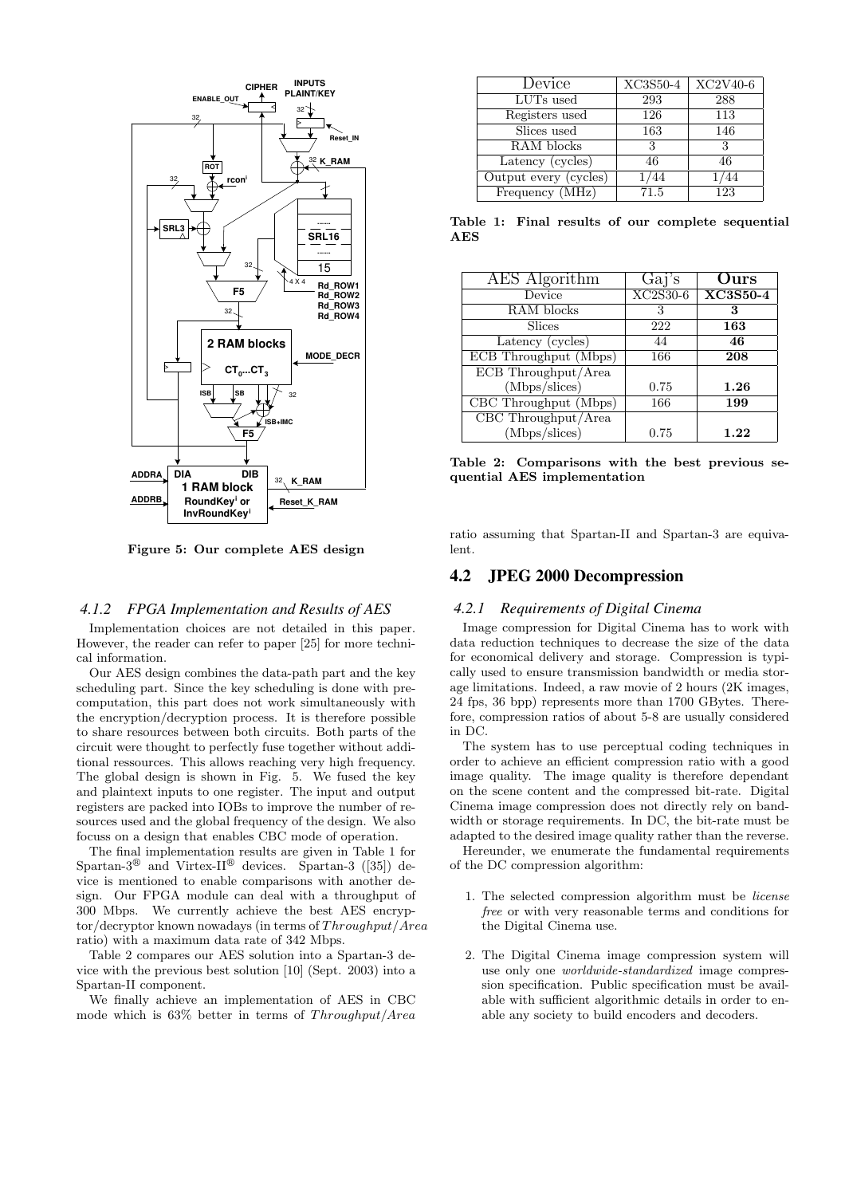

Figure 5: Our complete AES design

#### *4.1.2 FPGA Implementation and Results of AES*

Implementation choices are not detailed in this paper. However, the reader can refer to paper [25] for more technical information.

Our AES design combines the data-path part and the key scheduling part. Since the key scheduling is done with precomputation, this part does not work simultaneously with the encryption/decryption process. It is therefore possible to share resources between both circuits. Both parts of the circuit were thought to perfectly fuse together without additional ressources. This allows reaching very high frequency. The global design is shown in Fig. 5. We fused the key and plaintext inputs to one register. The input and output registers are packed into IOBs to improve the number of resources used and the global frequency of the design. We also focuss on a design that enables CBC mode of operation.

The final implementation results are given in Table 1 for Spartan-3<sup>®</sup> and Virtex-II<sup>®</sup> devices. Spartan-3 ([35]) device is mentioned to enable comparisons with another design. Our FPGA module can deal with a throughput of 300 Mbps. We currently achieve the best AES encryptor/decryptor known nowadays (in terms of Throughput/Area ratio) with a maximum data rate of 342 Mbps.

Table 2 compares our AES solution into a Spartan-3 device with the previous best solution [10] (Sept. 2003) into a Spartan-II component.

We finally achieve an implementation of AES in CBC mode which is 63% better in terms of Throughput/Area

| Device                | ${\rm XC3S50\text{-}4}$ | $XC2V40-6$ |
|-----------------------|-------------------------|------------|
| LUTs used             | 293                     | 288        |
| Registers used        | 126                     | 113        |
| Slices used           | 163                     | 146        |
| RAM blocks            | 3                       | 3          |
| Latency (cycles)      | 46                      | 46         |
| Output every (cycles) | '44                     |            |
| Frequency (MHz)       | 71.5                    | 123        |

Table 1: Final results of our complete sequential AES

| AES Algorithm         | Gaj's    | Jurs            |
|-----------------------|----------|-----------------|
| Device                | XC2S30-6 | <b>XC3S50-4</b> |
| RAM blocks            | 3        | 3               |
| <b>Slices</b>         | 222      | 163             |
| Latency (cycles)      | 44       | 46              |
| ECB Throughput (Mbps) | 166      | 208             |
| ECB Throughput/Area   |          |                 |
| (Mbps/slices)         | 0.75     | 1.26            |
| CBC Throughput (Mbps) | 166      | 199             |
| CBC Throughput/Area   |          |                 |
| (Mbps/slices)         | 0.75     | 1.22            |

Table 2: Comparisons with the best previous sequential AES implementation

ratio assuming that Spartan-II and Spartan-3 are equivalent.

### **4.2 JPEG 2000 Decompression**

#### *4.2.1 Requirements of Digital Cinema*

Image compression for Digital Cinema has to work with data reduction techniques to decrease the size of the data for economical delivery and storage. Compression is typically used to ensure transmission bandwidth or media storage limitations. Indeed, a raw movie of 2 hours (2K images, 24 fps, 36 bpp) represents more than 1700 GBytes. Therefore, compression ratios of about 5-8 are usually considered in DC.

The system has to use perceptual coding techniques in order to achieve an efficient compression ratio with a good image quality. The image quality is therefore dependant on the scene content and the compressed bit-rate. Digital Cinema image compression does not directly rely on bandwidth or storage requirements. In DC, the bit-rate must be adapted to the desired image quality rather than the reverse.

Hereunder, we enumerate the fundamental requirements of the DC compression algorithm:

- 1. The selected compression algorithm must be license free or with very reasonable terms and conditions for the Digital Cinema use.
- 2. The Digital Cinema image compression system will use only one worldwide-standardized image compression specification. Public specification must be available with sufficient algorithmic details in order to enable any society to build encoders and decoders.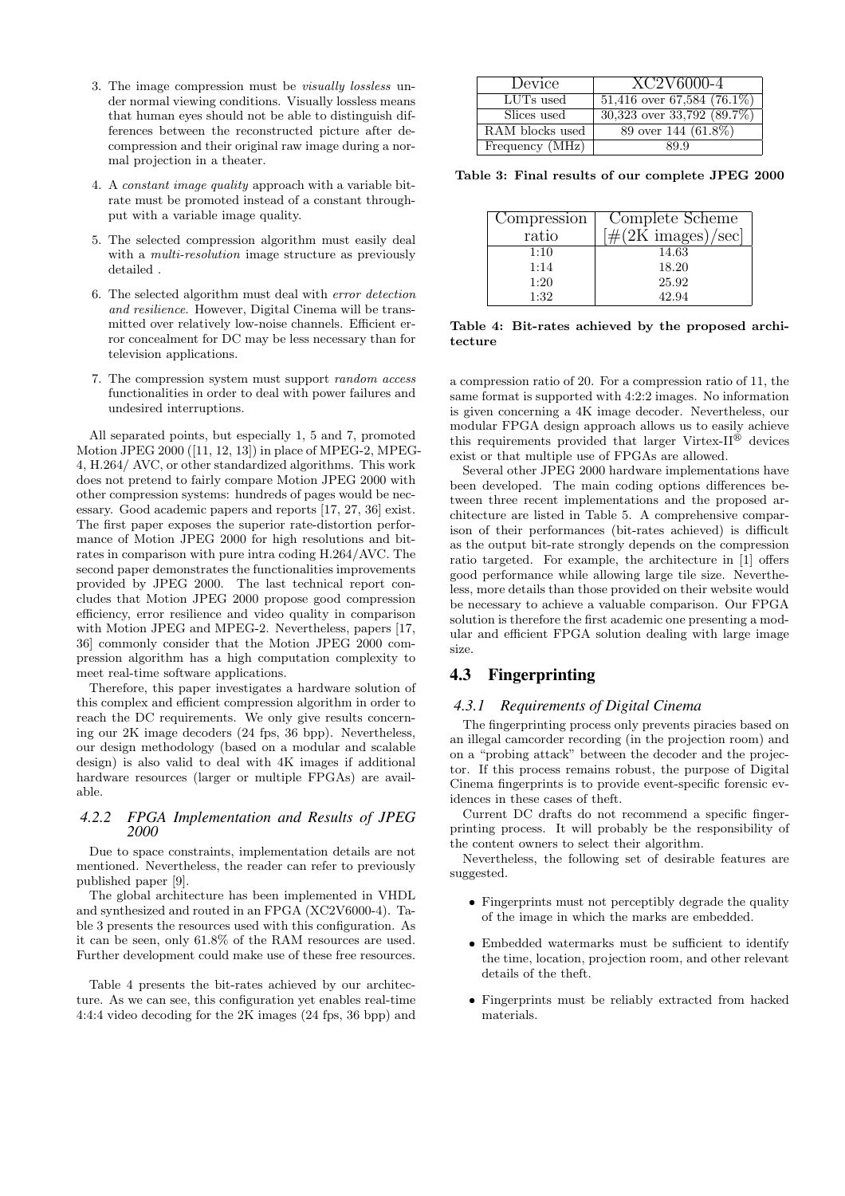- 3. The image compression must be visually lossless under normal viewing conditions. Visually lossless means that human eyes should not be able to distinguish differences between the reconstructed picture after decompression and their original raw image during a normal projection in a theater.
- 4. A constant image quality approach with a variable bitrate must be promoted instead of a constant throughput with a variable image quality.
- 5. The selected compression algorithm must easily deal with a *multi-resolution* image structure as previously detailed .
- 6. The selected algorithm must deal with error detection and resilience. However, Digital Cinema will be transmitted over relatively low-noise channels. Efficient error concealment for DC may be less necessary than for television applications.
- 7. The compression system must support random access functionalities in order to deal with power failures and undesired interruptions.

All separated points, but especially 1, 5 and 7, promoted Motion JPEG 2000 ([11, 12, 13]) in place of MPEG-2, MPEG-4, H.264/ AVC, or other standardized algorithms. This work does not pretend to fairly compare Motion JPEG 2000 with other compression systems: hundreds of pages would be necessary. Good academic papers and reports [17, 27, 36] exist. The first paper exposes the superior rate-distortion performance of Motion JPEG 2000 for high resolutions and bitrates in comparison with pure intra coding H.264/AVC. The second paper demonstrates the functionalities improvements provided by JPEG 2000. The last technical report concludes that Motion JPEG 2000 propose good compression efficiency, error resilience and video quality in comparison with Motion JPEG and MPEG-2. Nevertheless, papers [17, 36] commonly consider that the Motion JPEG 2000 compression algorithm has a high computation complexity to meet real-time software applications.

Therefore, this paper investigates a hardware solution of this complex and efficient compression algorithm in order to reach the DC requirements. We only give results concerning our 2K image decoders (24 fps, 36 bpp). Nevertheless, our design methodology (based on a modular and scalable design) is also valid to deal with 4K images if additional hardware resources (larger or multiple FPGAs) are available.

#### *4.2.2 FPGA Implementation and Results of JPEG 2000*

Due to space constraints, implementation details are not mentioned. Nevertheless, the reader can refer to previously published paper [9].

The global architecture has been implemented in VHDL and synthesized and routed in an FPGA (XC2V6000-4). Table 3 presents the resources used with this configuration. As it can be seen, only 61.8% of the RAM resources are used. Further development could make use of these free resources.

Table 4 presents the bit-rates achieved by our architecture. As we can see, this configuration yet enables real-time 4:4:4 video decoding for the 2K images (24 fps, 36 bpp) and

| Device          | XC2V6000-4                     |
|-----------------|--------------------------------|
| LUTs used       | 51,416 over 67,584 $(76.1\%)$  |
| Slices used     | $30,323$ over $33,792$ (89.7%) |
| RAM blocks used | 89 over $144(61.8\%)$          |
| Frequency (MHz) | 89.9                           |

Table 3: Final results of our complete JPEG 2000

| Compression | Complete Scheme                  |
|-------------|----------------------------------|
| ratio       | $2K$ images)<br>$/ \mathrm{sec}$ |
| 1:10        | 14.63                            |
| 1:14        | 18.20                            |
| 1:20        | 25.92                            |
| 1:32        | 42.94                            |

Table 4: Bit-rates achieved by the proposed architecture

a compression ratio of 20. For a compression ratio of 11, the same format is supported with 4:2:2 images. No information is given concerning a 4K image decoder. Nevertheless, our modular FPGA design approach allows us to easily achieve this requirements provided that larger Virtex-II<sup>®</sup> devices exist or that multiple use of FPGAs are allowed.

Several other JPEG 2000 hardware implementations have been developed. The main coding options differences between three recent implementations and the proposed architecture are listed in Table 5. A comprehensive comparison of their performances (bit-rates achieved) is difficult as the output bit-rate strongly depends on the compression ratio targeted. For example, the architecture in [1] offers good performance while allowing large tile size. Nevertheless, more details than those provided on their website would be necessary to achieve a valuable comparison. Our FPGA solution is therefore the first academic one presenting a modular and efficient FPGA solution dealing with large image size.

# **4.3 Fingerprinting**

### *4.3.1 Requirements of Digital Cinema*

The fingerprinting process only prevents piracies based on an illegal camcorder recording (in the projection room) and on a "probing attack" between the decoder and the projector. If this process remains robust, the purpose of Digital Cinema fingerprints is to provide event-specific forensic evidences in these cases of theft.

Current DC drafts do not recommend a specific fingerprinting process. It will probably be the responsibility of the content owners to select their algorithm.

Nevertheless, the following set of desirable features are suggested.

- Fingerprints must not perceptibly degrade the quality of the image in which the marks are embedded.
- Embedded watermarks must be sufficient to identify the time, location, projection room, and other relevant details of the theft.
- Fingerprints must be reliably extracted from hacked materials.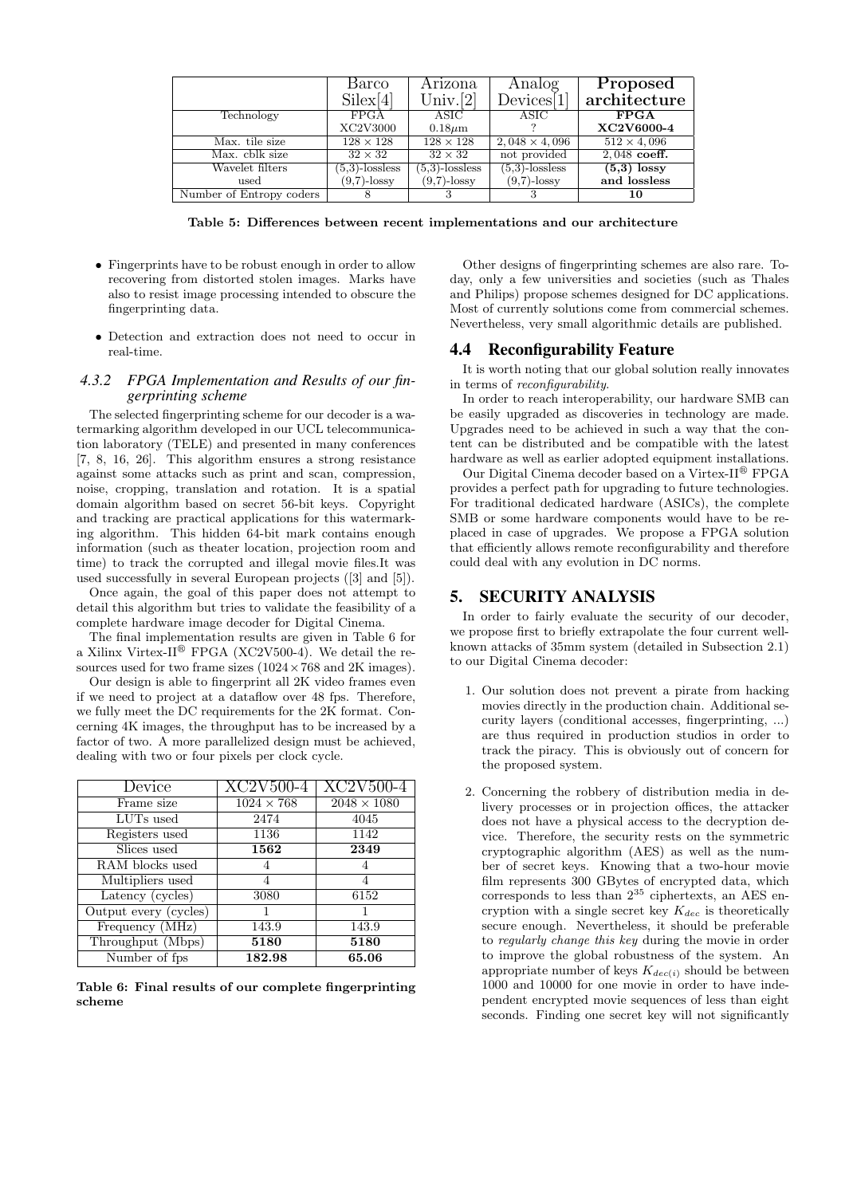|                          | Barco             | Arizona           | Analog                | Proposed           |
|--------------------------|-------------------|-------------------|-----------------------|--------------------|
|                          | Silex[4]          | Univ. $[2]$       | Devices <sub>[1</sub> | architecture       |
| Technology               | <b>FPGA</b>       | ASIC              | ASIC                  | <b>FPGA</b>        |
|                          | XC2V3000          | $0.18 \mu m$      |                       | XC2V6000-4         |
| Max. tile size           | $128 \times 128$  | $128 \times 128$  | $2,048 \times 4,096$  | $512 \times 4,096$ |
| Max. cblk size           | $32 \times 32$    | $32 \times 32$    | not provided          | $2,048$ coeff.     |
| Wavelet filters          | $(5,3)$ -lossless | $(5,3)$ -lossless | $(5,3)$ -lossless     | $(5,3)$ lossy      |
| used                     | $(9,7)$ -lossy    | $(9,7)$ -lossy    | $(9,7)$ -lossy        | and lossless       |
| Number of Entropy coders |                   |                   |                       | 10                 |

Table 5: Differences between recent implementations and our architecture

- Fingerprints have to be robust enough in order to allow recovering from distorted stolen images. Marks have also to resist image processing intended to obscure the fingerprinting data.
- Detection and extraction does not need to occur in real-time.

### *4.3.2 FPGA Implementation and Results of our fingerprinting scheme*

The selected fingerprinting scheme for our decoder is a watermarking algorithm developed in our UCL telecommunication laboratory (TELE) and presented in many conferences [7, 8, 16, 26]. This algorithm ensures a strong resistance against some attacks such as print and scan, compression, noise, cropping, translation and rotation. It is a spatial domain algorithm based on secret 56-bit keys. Copyright and tracking are practical applications for this watermarking algorithm. This hidden 64-bit mark contains enough information (such as theater location, projection room and time) to track the corrupted and illegal movie files.It was used successfully in several European projects ([3] and [5]).

Once again, the goal of this paper does not attempt to detail this algorithm but tries to validate the feasibility of a complete hardware image decoder for Digital Cinema.

The final implementation results are given in Table 6 for a Xilinx Virtex-II<sup>®</sup> FPGA (XC2V500-4). We detail the resources used for two frame sizes  $(1024 \times 768$  and 2K images).

Our design is able to fingerprint all 2K video frames even if we need to project at a dataflow over 48 fps. Therefore, we fully meet the DC requirements for the 2K format. Concerning 4K images, the throughput has to be increased by a factor of two. A more parallelized design must be achieved, dealing with two or four pixels per clock cycle.

| Device                | XC2V500-4         | XC2V500-4          |
|-----------------------|-------------------|--------------------|
| Frame size            | $1024 \times 768$ | $2048 \times 1080$ |
| LUTs used             | 2474              | 4045               |
| Registers used        | 1136              | 1142               |
| Slices used           | 1562              | 2349               |
| RAM blocks used       | 4                 |                    |
| Multipliers used      | 4                 | 4                  |
| Latency (cycles)      | 3080              | 6152               |
| Output every (cycles) |                   |                    |
| Frequency (MHz)       | 143.9             | 143.9              |
| Throughput (Mbps)     | 5180              | 5180               |
| Number of fps         | 182.98            | 65.06              |

Table 6: Final results of our complete fingerprinting scheme

Other designs of fingerprinting schemes are also rare. Today, only a few universities and societies (such as Thales and Philips) propose schemes designed for DC applications. Most of currently solutions come from commercial schemes. Nevertheless, very small algorithmic details are published.

### **4.4 Reconfigurability Feature**

It is worth noting that our global solution really innovates in terms of reconfigurability.

In order to reach interoperability, our hardware SMB can be easily upgraded as discoveries in technology are made. Upgrades need to be achieved in such a way that the content can be distributed and be compatible with the latest hardware as well as earlier adopted equipment installations.

Our Digital Cinema decoder based on a Virtex-II® FPGA provides a perfect path for upgrading to future technologies. For traditional dedicated hardware (ASICs), the complete SMB or some hardware components would have to be replaced in case of upgrades. We propose a FPGA solution that efficiently allows remote reconfigurability and therefore could deal with any evolution in DC norms.

### **5. SECURITY ANALYSIS**

In order to fairly evaluate the security of our decoder, we propose first to briefly extrapolate the four current wellknown attacks of 35mm system (detailed in Subsection 2.1) to our Digital Cinema decoder:

- 1. Our solution does not prevent a pirate from hacking movies directly in the production chain. Additional security layers (conditional accesses, fingerprinting, ...) are thus required in production studios in order to track the piracy. This is obviously out of concern for the proposed system.
- 2. Concerning the robbery of distribution media in delivery processes or in projection offices, the attacker does not have a physical access to the decryption device. Therefore, the security rests on the symmetric cryptographic algorithm (AES) as well as the number of secret keys. Knowing that a two-hour movie film represents 300 GBytes of encrypted data, which corresponds to less than  $2^{35}$  ciphertexts, an AES encryption with a single secret key  $K_{dec}$  is theoretically secure enough. Nevertheless, it should be preferable to regularly change this key during the movie in order to improve the global robustness of the system. An appropriate number of keys  $K_{dec(i)}$  should be between 1000 and 10000 for one movie in order to have independent encrypted movie sequences of less than eight seconds. Finding one secret key will not significantly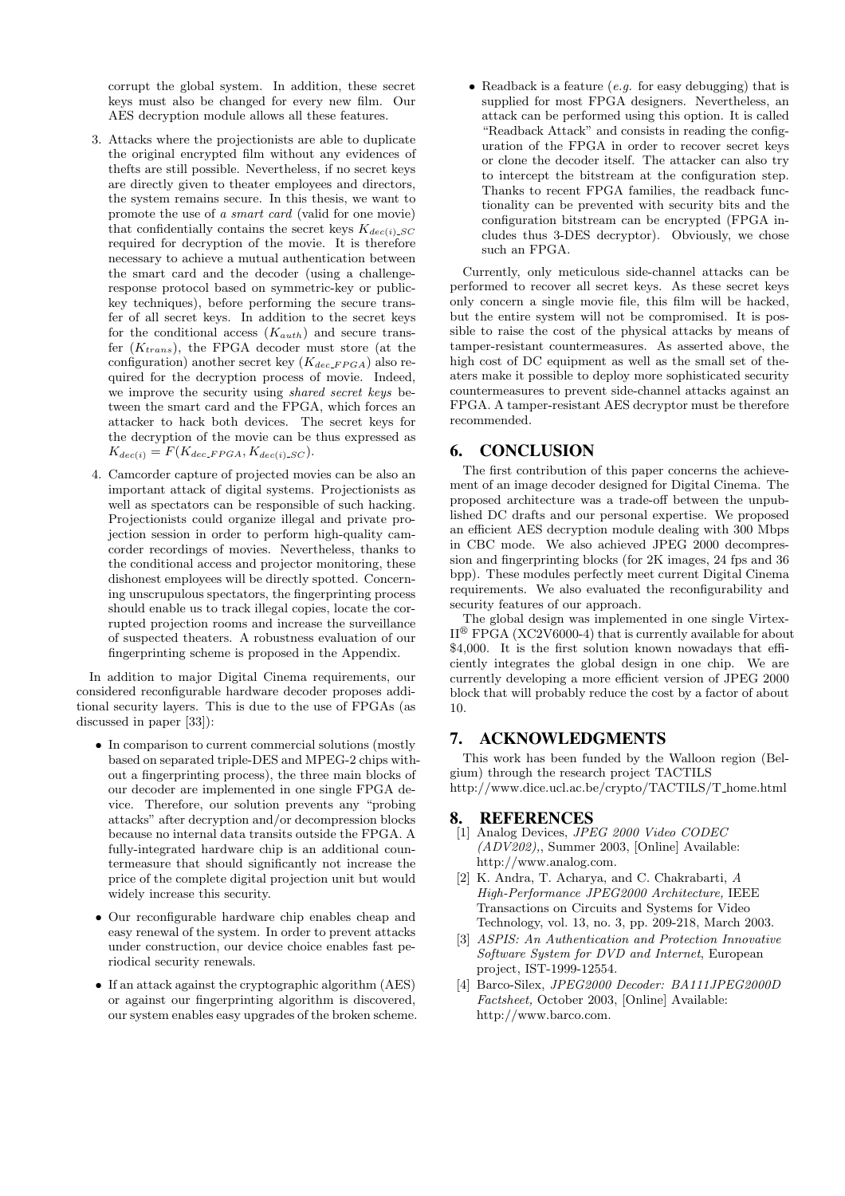corrupt the global system. In addition, these secret keys must also be changed for every new film. Our AES decryption module allows all these features.

- 3. Attacks where the projectionists are able to duplicate the original encrypted film without any evidences of thefts are still possible. Nevertheless, if no secret keys are directly given to theater employees and directors, the system remains secure. In this thesis, we want to promote the use of a smart card (valid for one movie) that confidentially contains the secret keys  $K_{dec(i)$  sc required for decryption of the movie. It is therefore necessary to achieve a mutual authentication between the smart card and the decoder (using a challengeresponse protocol based on symmetric-key or publickey techniques), before performing the secure transfer of all secret keys. In addition to the secret keys for the conditional access  $(K_{auth})$  and secure transfer  $(K_{trans})$ , the FPGA decoder must store (at the configuration) another secret key  $(K_{dec, FPGA})$  also required for the decryption process of movie. Indeed, we improve the security using shared secret keys between the smart card and the FPGA, which forces an attacker to hack both devices. The secret keys for the decryption of the movie can be thus expressed as  $K_{dec(i)} = F(K_{dec\_FPGA}, K_{dec(i)\;SC}).$
- 4. Camcorder capture of projected movies can be also an important attack of digital systems. Projectionists as well as spectators can be responsible of such hacking. Projectionists could organize illegal and private projection session in order to perform high-quality camcorder recordings of movies. Nevertheless, thanks to the conditional access and projector monitoring, these dishonest employees will be directly spotted. Concerning unscrupulous spectators, the fingerprinting process should enable us to track illegal copies, locate the corrupted projection rooms and increase the surveillance of suspected theaters. A robustness evaluation of our fingerprinting scheme is proposed in the Appendix.

In addition to major Digital Cinema requirements, our considered reconfigurable hardware decoder proposes additional security layers. This is due to the use of FPGAs (as discussed in paper [33]):

- In comparison to current commercial solutions (mostly based on separated triple-DES and MPEG-2 chips without a fingerprinting process), the three main blocks of our decoder are implemented in one single FPGA device. Therefore, our solution prevents any "probing attacks" after decryption and/or decompression blocks because no internal data transits outside the FPGA. A fully-integrated hardware chip is an additional countermeasure that should significantly not increase the price of the complete digital projection unit but would widely increase this security.
- Our reconfigurable hardware chip enables cheap and easy renewal of the system. In order to prevent attacks under construction, our device choice enables fast periodical security renewals.
- If an attack against the cryptographic algorithm (AES) or against our fingerprinting algorithm is discovered, our system enables easy upgrades of the broken scheme.

• Readback is a feature  $(e.g.$  for easy debugging) that is supplied for most FPGA designers. Nevertheless, an attack can be performed using this option. It is called "Readback Attack" and consists in reading the configuration of the FPGA in order to recover secret keys or clone the decoder itself. The attacker can also try to intercept the bitstream at the configuration step. Thanks to recent FPGA families, the readback functionality can be prevented with security bits and the configuration bitstream can be encrypted (FPGA includes thus 3-DES decryptor). Obviously, we chose such an FPGA.

Currently, only meticulous side-channel attacks can be performed to recover all secret keys. As these secret keys only concern a single movie file, this film will be hacked, but the entire system will not be compromised. It is possible to raise the cost of the physical attacks by means of tamper-resistant countermeasures. As asserted above, the high cost of DC equipment as well as the small set of theaters make it possible to deploy more sophisticated security countermeasures to prevent side-channel attacks against an FPGA. A tamper-resistant AES decryptor must be therefore recommended.

# **6. CONCLUSION**

The first contribution of this paper concerns the achievement of an image decoder designed for Digital Cinema. The proposed architecture was a trade-off between the unpublished DC drafts and our personal expertise. We proposed an efficient AES decryption module dealing with 300 Mbps in CBC mode. We also achieved JPEG 2000 decompression and fingerprinting blocks (for 2K images, 24 fps and 36 bpp). These modules perfectly meet current Digital Cinema requirements. We also evaluated the reconfigurability and security features of our approach.

The global design was implemented in one single Virtex- $II^{\circledR}$  FPGA (XC2V6000-4) that is currently available for about \$4,000. It is the first solution known nowadays that efficiently integrates the global design in one chip. We are currently developing a more efficient version of JPEG 2000 block that will probably reduce the cost by a factor of about 10.

### **7. ACKNOWLEDGMENTS**

This work has been funded by the Walloon region (Belgium) through the research project TACTILS http://www.dice.ucl.ac.be/crypto/TACTILS/T home.html

### **8. REFERENCES**

- [1] Analog Devices, JPEG 2000 Video CODEC (ADV202),, Summer 2003, [Online] Available: http://www.analog.com.
- [2] K. Andra, T. Acharya, and C. Chakrabarti, A High-Performance JPEG2000 Architecture, IEEE Transactions on Circuits and Systems for Video Technology, vol. 13, no. 3, pp. 209-218, March 2003.
- [3] ASPIS: An Authentication and Protection Innovative Software System for DVD and Internet, European project, IST-1999-12554.
- [4] Barco-Silex, JPEG2000 Decoder: BA111JPEG2000D Factsheet, October 2003, [Online] Available: http://www.barco.com.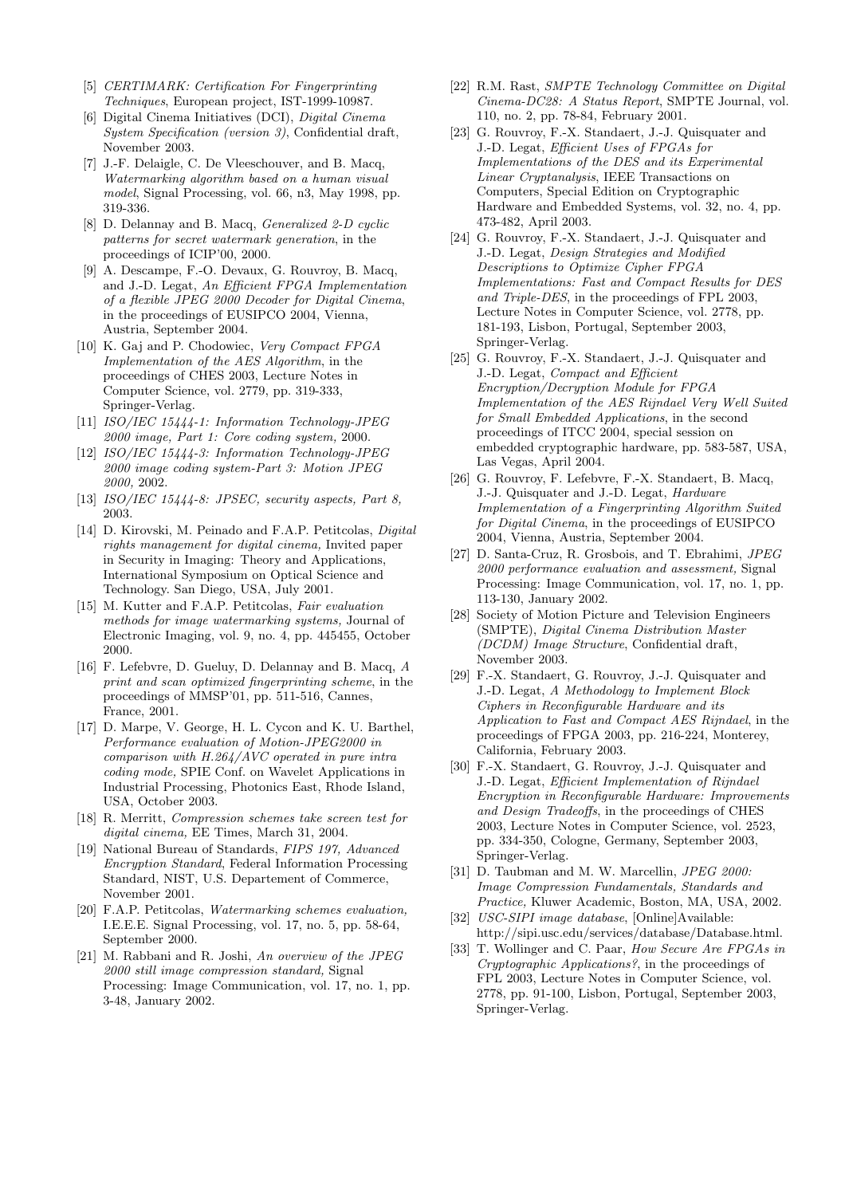- [5] CERTIMARK: Certification For Fingerprinting Techniques, European project, IST-1999-10987.
- [6] Digital Cinema Initiatives (DCI), Digital Cinema System Specification (version 3), Confidential draft, November 2003.
- [7] J.-F. Delaigle, C. De Vleeschouver, and B. Macq, Watermarking algorithm based on a human visual model, Signal Processing, vol. 66, n3, May 1998, pp. 319-336.
- [8] D. Delannay and B. Macq, Generalized 2-D cyclic patterns for secret watermark generation, in the proceedings of ICIP'00, 2000.
- [9] A. Descampe, F.-O. Devaux, G. Rouvroy, B. Macq, and J.-D. Legat, An Efficient FPGA Implementation of a flexible JPEG 2000 Decoder for Digital Cinema, in the proceedings of EUSIPCO 2004, Vienna, Austria, September 2004.
- [10] K. Gaj and P. Chodowiec, Very Compact FPGA Implementation of the AES Algorithm, in the proceedings of CHES 2003, Lecture Notes in Computer Science, vol. 2779, pp. 319-333, Springer-Verlag.
- [11] ISO/IEC 15444-1: Information Technology-JPEG 2000 image, Part 1: Core coding system, 2000.
- [12] ISO/IEC 15444-3: Information Technology-JPEG 2000 image coding system-Part 3: Motion JPEG 2000, 2002.
- [13] ISO/IEC 15444-8: JPSEC, security aspects, Part 8, 2003.
- [14] D. Kirovski, M. Peinado and F.A.P. Petitcolas, *Digital* rights management for digital cinema, Invited paper in Security in Imaging: Theory and Applications, International Symposium on Optical Science and Technology. San Diego, USA, July 2001.
- [15] M. Kutter and F.A.P. Petitcolas, Fair evaluation methods for image watermarking systems, Journal of Electronic Imaging, vol. 9, no. 4, pp. 445455, October 2000.
- [16] F. Lefebvre, D. Gueluy, D. Delannay and B. Macq, A print and scan optimized fingerprinting scheme, in the proceedings of MMSP'01, pp. 511-516, Cannes, France, 2001.
- [17] D. Marpe, V. George, H. L. Cycon and K. U. Barthel, Performance evaluation of Motion-JPEG2000 in comparison with H.264/AVC operated in pure intra coding mode, SPIE Conf. on Wavelet Applications in Industrial Processing, Photonics East, Rhode Island, USA, October 2003.
- [18] R. Merritt, Compression schemes take screen test for digital cinema, EE Times, March 31, 2004.
- [19] National Bureau of Standards, FIPS 197, Advanced Encryption Standard, Federal Information Processing Standard, NIST, U.S. Departement of Commerce, November 2001.
- [20] F.A.P. Petitcolas, Watermarking schemes evaluation, I.E.E.E. Signal Processing, vol. 17, no. 5, pp. 58-64, September 2000.
- [21] M. Rabbani and R. Joshi, An overview of the JPEG 2000 still image compression standard, Signal Processing: Image Communication, vol. 17, no. 1, pp. 3-48, January 2002.
- [22] R.M. Rast, SMPTE Technology Committee on Digital Cinema-DC28: A Status Report, SMPTE Journal, vol. 110, no. 2, pp. 78-84, February 2001.
- [23] G. Rouvroy, F.-X. Standaert, J.-J. Quisquater and J.-D. Legat, Efficient Uses of FPGAs for Implementations of the DES and its Experimental Linear Cryptanalysis, IEEE Transactions on Computers, Special Edition on Cryptographic Hardware and Embedded Systems, vol. 32, no. 4, pp. 473-482, April 2003.
- [24] G. Rouvroy, F.-X. Standaert, J.-J. Quisquater and J.-D. Legat, Design Strategies and Modified Descriptions to Optimize Cipher FPGA Implementations: Fast and Compact Results for DES and Triple-DES, in the proceedings of FPL 2003, Lecture Notes in Computer Science, vol. 2778, pp. 181-193, Lisbon, Portugal, September 2003, Springer-Verlag.
- [25] G. Rouvroy, F.-X. Standaert, J.-J. Quisquater and J.-D. Legat, Compact and Efficient Encryption/Decryption Module for FPGA Implementation of the AES Rijndael Very Well Suited for Small Embedded Applications, in the second proceedings of ITCC 2004, special session on embedded cryptographic hardware, pp. 583-587, USA, Las Vegas, April 2004.
- [26] G. Rouvroy, F. Lefebvre, F.-X. Standaert, B. Macq, J.-J. Quisquater and J.-D. Legat, Hardware Implementation of a Fingerprinting Algorithm Suited for Digital Cinema, in the proceedings of EUSIPCO 2004, Vienna, Austria, September 2004.
- [27] D. Santa-Cruz, R. Grosbois, and T. Ebrahimi, JPEG 2000 performance evaluation and assessment, Signal Processing: Image Communication, vol. 17, no. 1, pp. 113-130, January 2002.
- [28] Society of Motion Picture and Television Engineers (SMPTE), Digital Cinema Distribution Master (DCDM) Image Structure, Confidential draft, November 2003.
- [29] F.-X. Standaert, G. Rouvroy, J.-J. Quisquater and J.-D. Legat, A Methodology to Implement Block Ciphers in Reconfigurable Hardware and its Application to Fast and Compact AES Rijndael, in the proceedings of FPGA 2003, pp. 216-224, Monterey, California, February 2003.
- [30] F.-X. Standaert, G. Rouvroy, J.-J. Quisquater and J.-D. Legat, Efficient Implementation of Rijndael Encryption in Reconfigurable Hardware: Improvements and Design Tradeoffs, in the proceedings of CHES 2003, Lecture Notes in Computer Science, vol. 2523, pp. 334-350, Cologne, Germany, September 2003, Springer-Verlag.
- [31] D. Taubman and M. W. Marcellin, *JPEG 2000:* Image Compression Fundamentals, Standards and Practice, Kluwer Academic, Boston, MA, USA, 2002.
- [32] USC-SIPI image database, [Online]Available: http://sipi.usc.edu/services/database/Database.html.
- [33] T. Wollinger and C. Paar, How Secure Are FPGAs in Cryptographic Applications?, in the proceedings of FPL 2003, Lecture Notes in Computer Science, vol. 2778, pp. 91-100, Lisbon, Portugal, September 2003, Springer-Verlag.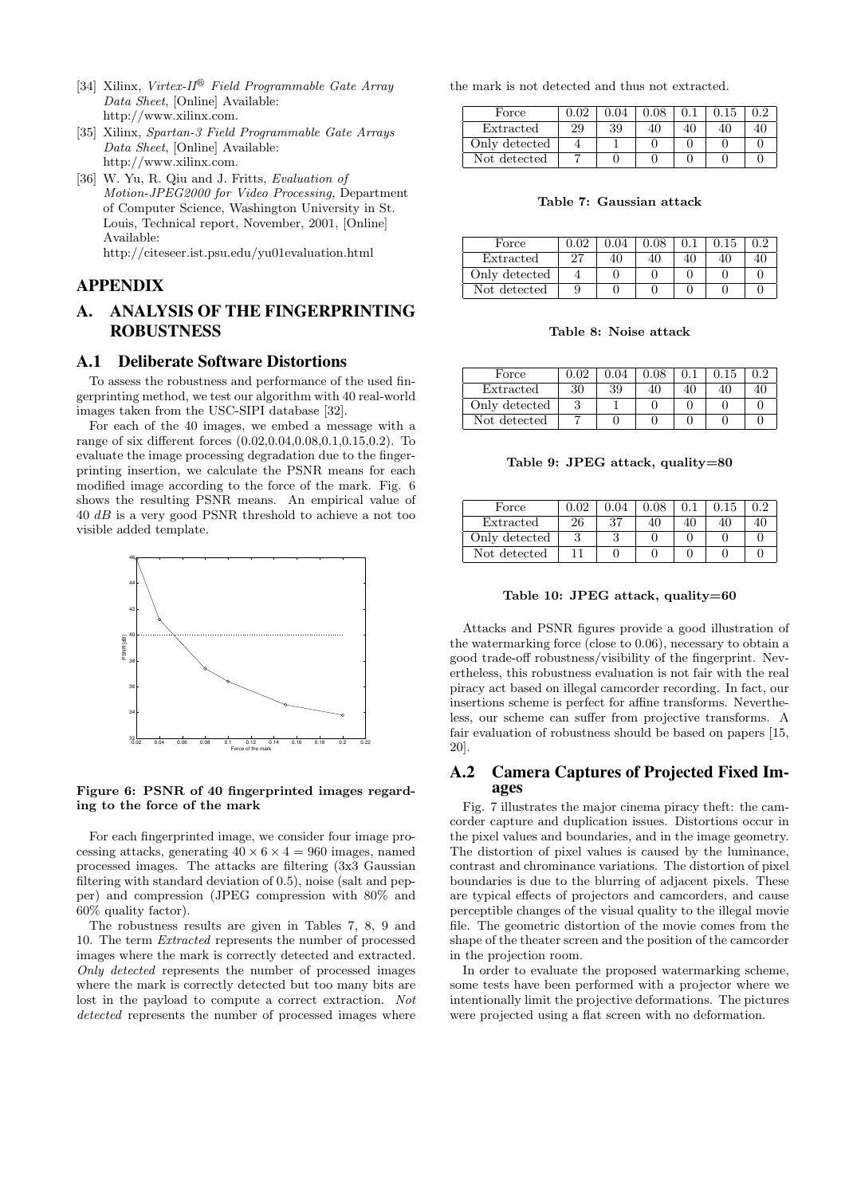- [34] Xilinx, Virtex-II<sup>®</sup> Field Programmable Gate Array Data Sheet, [Online] Available: http://www.xilinx.com.
- [35] Xilinx, Spartan-3 Field Programmable Gate Arrays Data Sheet, [Online] Available: http://www.xilinx.com.
- [36] W. Yu, R. Qiu and J. Fritts, Evaluation of Motion-JPEG2000 for Video Processing, Department of Computer Science, Washington University in St. Louis, Technical report, November, 2001, [Online] Available: http://citeseer.ist.psu.edu/yu01evaluation.html

# **APPENDIX**

# **A. ANALYSIS OF THE FINGERPRINTING ROBUSTNESS**

### **A.1 Deliberate Software Distortions**

To assess the robustness and performance of the used fingerprinting method, we test our algorithm with 40 real-world images taken from the USC-SIPI database [32].

For each of the 40 images, we embed a message with a range of six different forces (0.02,0.04,0.08,0.1,0.15,0.2). To evaluate the image processing degradation due to the fingerprinting insertion, we calculate the PSNR means for each modified image according to the force of the mark. Fig. 6 shows the resulting PSNR means. An empirical value of  $40$   $dB$  is a very good PSNR threshold to achieve a not too visible added template.



#### Figure 6: PSNR of 40 fingerprinted images regarding to the force of the mark

For each fingerprinted image, we consider four image processing attacks, generating  $40 \times 6 \times 4 = 960$  images, named processed images. The attacks are filtering (3x3 Gaussian filtering with standard deviation of 0.5), noise (salt and pepper) and compression (JPEG compression with 80% and 60% quality factor).

The robustness results are given in Tables 7, 8, 9 and 10. The term Extracted represents the number of processed images where the mark is correctly detected and extracted. Only detected represents the number of processed images where the mark is correctly detected but too many bits are lost in the payload to compute a correct extraction. Not detected represents the number of processed images where the mark is not detected and thus not extracted.

| Force         |    | 0.04 | 0.08 |  |  |
|---------------|----|------|------|--|--|
| Extracted     | 29 | 39   | 40   |  |  |
| Only detected |    |      |      |  |  |
| Not detected  |    |      |      |  |  |

#### Table 7: Gaussian attack

| Force         |  | .08 |  |  |
|---------------|--|-----|--|--|
| Extracted     |  |     |  |  |
| Only detected |  |     |  |  |
| Not detected  |  |     |  |  |

#### Table 8: Noise attack

| Force         |    | 0.04 | 0.08 |    | 0.15 |  |
|---------------|----|------|------|----|------|--|
| Extracted     | 30 | 39   |      | 40 |      |  |
| Only detected |    |      |      |    |      |  |
| Not detected  |    |      |      |    |      |  |

Table 9: JPEG attack, quality=80

| Force         |    | 0.04 |    |  |
|---------------|----|------|----|--|
| Extracted     | 26 | רפ   | 40 |  |
| Only detected |    |      |    |  |
| Not detected  |    |      |    |  |

#### Table 10: JPEG attack, quality=60

Attacks and PSNR figures provide a good illustration of the watermarking force (close to 0.06), necessary to obtain a good trade-off robustness/visibility of the fingerprint. Nevertheless, this robustness evaluation is not fair with the real piracy act based on illegal camcorder recording. In fact, our insertions scheme is perfect for affine transforms. Nevertheless, our scheme can suffer from projective transforms. A fair evaluation of robustness should be based on papers [15, 20].

### **A.2 Camera Captures of Projected Fixed Images**

Fig. 7 illustrates the major cinema piracy theft: the camcorder capture and duplication issues. Distortions occur in the pixel values and boundaries, and in the image geometry. The distortion of pixel values is caused by the luminance, contrast and chrominance variations. The distortion of pixel boundaries is due to the blurring of adjacent pixels. These are typical effects of projectors and camcorders, and cause perceptible changes of the visual quality to the illegal movie file. The geometric distortion of the movie comes from the shape of the theater screen and the position of the camcorder in the projection room.

In order to evaluate the proposed watermarking scheme, some tests have been performed with a projector where we intentionally limit the projective deformations. The pictures were projected using a flat screen with no deformation.